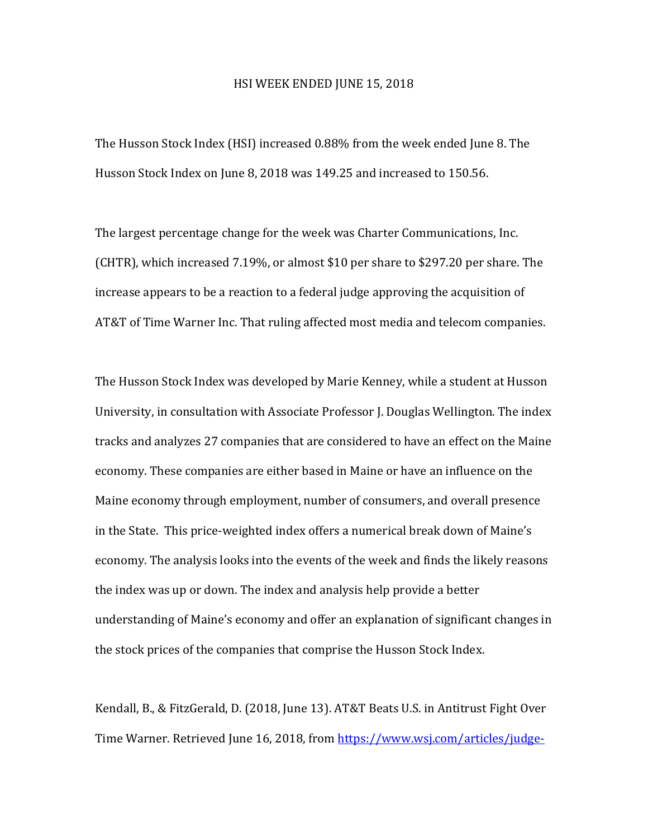## HSI WEEK ENDED JUNE 15, 2018

The Husson Stock Index (HSI) increased 0.88% from the week ended June 8. The Husson Stock Index on June 8, 2018 was 149.25 and increased to 150.56.

The largest percentage change for the week was Charter Communications, Inc. (CHTR), which increased 7.19%, or almost \$10 per share to \$297.20 per share. The increase appears to be a reaction to a federal judge approving the acquisition of AT&T of Time Warner Inc. That ruling affected most media and telecom companies.

The Husson Stock Index was developed by Marie Kenney, while a student at Husson University, in consultation with Associate Professor J. Douglas Wellington. The index tracks and analyzes 27 companies that are considered to have an effect on the Maine economy. These companies are either based in Maine or have an influence on the Maine economy through employment, number of consumers, and overall presence in the State. This price-weighted index offers a numerical break down of Maine's economy. The analysis looks into the events of the week and finds the likely reasons the index was up or down. The index and analysis help provide a better understanding of Maine's economy and offer an explanation of significant changes in the stock prices of the companies that comprise the Husson Stock Index.

Kendall, B., & FitzGerald, D. (2018, June 13). AT&T Beats U.S. in Antitrust Fight Over Time Warner. Retrieved June 16, 2018, from https://www.wsj.com/articles/judge